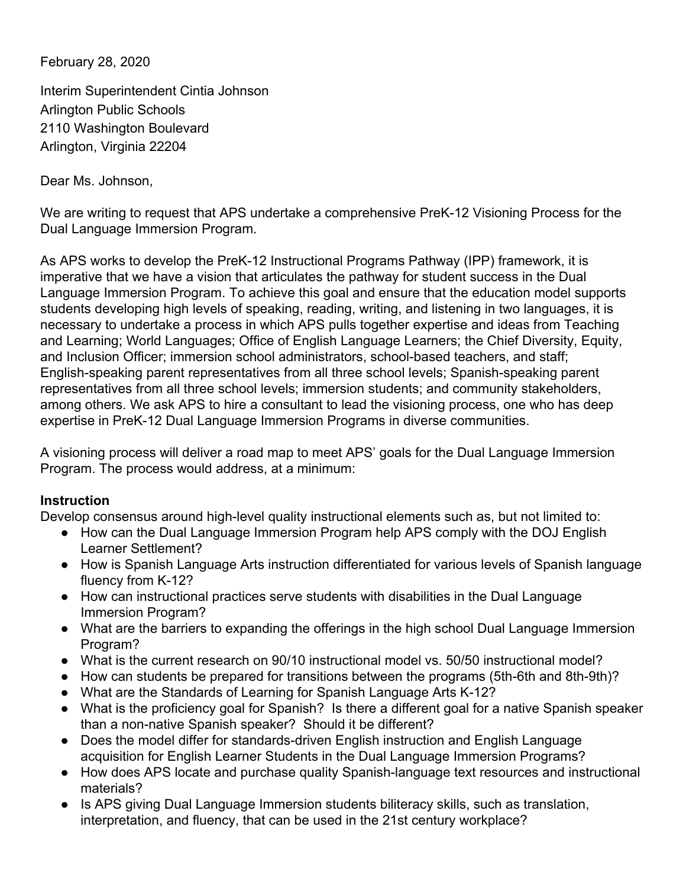February 28, 2020

Interim Superintendent Cintia Johnson Arlington Public Schools 2110 Washington Boulevard Arlington, Virginia 22204

Dear Ms. Johnson,

We are writing to request that APS undertake a comprehensive PreK-12 Visioning Process for the Dual Language Immersion Program.

As APS works to develop the PreK-12 Instructional Programs Pathway (IPP) framework, it is imperative that we have a vision that articulates the pathway for student success in the Dual Language Immersion Program. To achieve this goal and ensure that the education model supports students developing high levels of speaking, reading, writing, and listening in two languages, it is necessary to undertake a process in which APS pulls together expertise and ideas from Teaching and Learning; World Languages; Office of English Language Learners; the Chief Diversity, Equity, and Inclusion Officer; immersion school administrators, school-based teachers, and staff; English-speaking parent representatives from all three school levels; Spanish-speaking parent representatives from all three school levels; immersion students; and community stakeholders, among others. We ask APS to hire a consultant to lead the visioning process, one who has deep expertise in PreK-12 Dual Language Immersion Programs in diverse communities.

A visioning process will deliver a road map to meet APS' goals for the Dual Language Immersion Program. The process would address, at a minimum:

### **Instruction**

Develop consensus around high-level quality instructional elements such as, but not limited to:

- How can the Dual Language Immersion Program help APS comply with the DOJ English Learner Settlement?
- How is Spanish Language Arts instruction differentiated for various levels of Spanish language fluency from K-12?
- How can instructional practices serve students with disabilities in the Dual Language Immersion Program?
- What are the barriers to expanding the offerings in the high school Dual Language Immersion Program?
- What is the current research on 90/10 instructional model vs. 50/50 instructional model?
- How can students be prepared for transitions between the programs (5th-6th and 8th-9th)?
- What are the Standards of Learning for Spanish Language Arts K-12?
- What is the proficiency goal for Spanish? Is there a different goal for a native Spanish speaker than a non-native Spanish speaker? Should it be different?
- Does the model differ for standards-driven English instruction and English Language acquisition for English Learner Students in the Dual Language Immersion Programs?
- How does APS locate and purchase quality Spanish-language text resources and instructional materials?
- Is APS giving Dual Language Immersion students biliteracy skills, such as translation, interpretation, and fluency, that can be used in the 21st century workplace?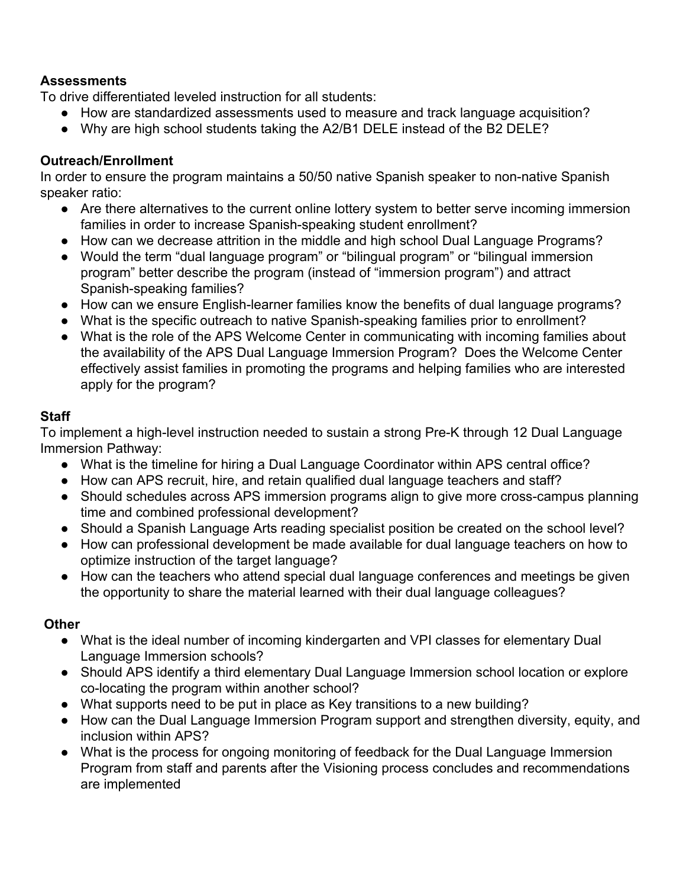#### **Assessments**

To drive differentiated leveled instruction for all students:

- **●** How are standardized assessments used to measure and track language acquisition?
- Why are high school students taking the A2/B1 DELE instead of the B2 DELE?

### **Outreach/Enrollment**

In order to ensure the program maintains a 50/50 native Spanish speaker to non-native Spanish speaker ratio:

- **●** Are there alternatives to the current online lottery system to better serve incoming immersion families in order to increase Spanish-speaking student enrollment?
- How can we decrease attrition in the middle and high school Dual Language Programs?
- Would the term "dual language program" or "bilingual program" or "bilingual immersion program" better describe the program (instead of "immersion program") and attract Spanish-speaking families?
- How can we ensure English-learner families know the benefits of dual language programs?
- What is the specific outreach to native Spanish-speaking families prior to enrollment?
- What is the role of the APS Welcome Center in communicating with incoming families about the availability of the APS Dual Language Immersion Program? Does the Welcome Center effectively assist families in promoting the programs and helping families who are interested apply for the program?

## **Staff**

To implement a high-level instruction needed to sustain a strong Pre-K through 12 Dual Language Immersion Pathway:

- What is the timeline for hiring a Dual Language Coordinator within APS central office?
- How can APS recruit, hire, and retain qualified dual language teachers and staff?
- Should schedules across APS immersion programs align to give more cross-campus planning time and combined professional development?
- Should a Spanish Language Arts reading specialist position be created on the school level?
- How can professional development be made available for dual language teachers on how to optimize instruction of the target language?
- How can the teachers who attend special dual language conferences and meetings be given the opportunity to share the material learned with their dual language colleagues?

# **Other**

- What is the ideal number of incoming kindergarten and VPI classes for elementary Dual Language Immersion schools?
- Should APS identify a third elementary Dual Language Immersion school location or explore co-locating the program within another school?
- What supports need to be put in place as Key transitions to a new building?
- How can the Dual Language Immersion Program support and strengthen diversity, equity, and inclusion within APS?
- What is the process for ongoing monitoring of feedback for the Dual Language Immersion Program from staff and parents after the Visioning process concludes and recommendations are implemented